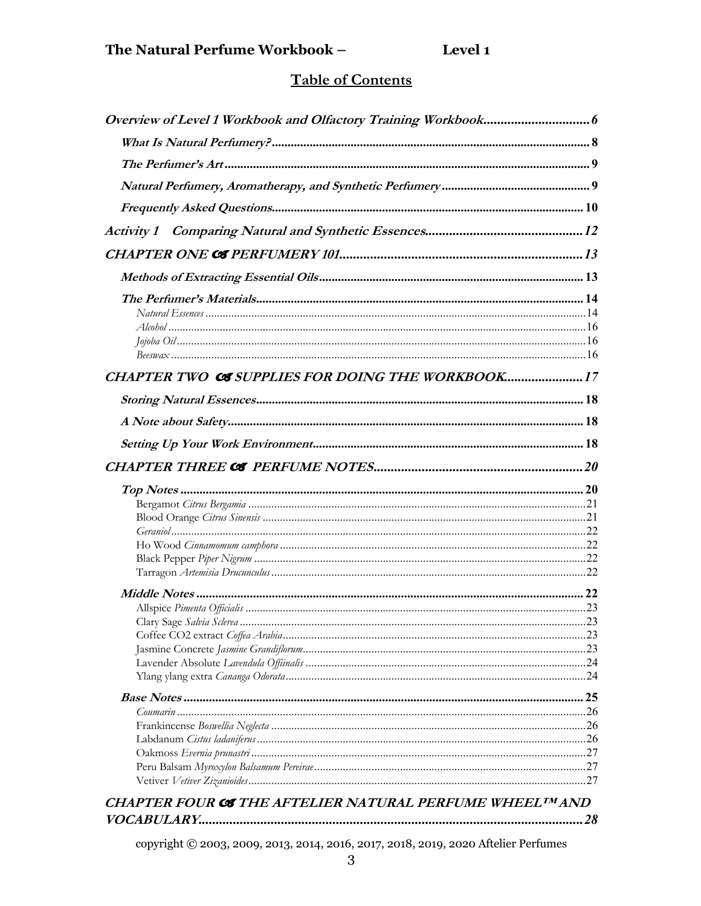## **Table of Contents**

| CHAPTER TWO CS SUPPLIES FOR DOING THE WORKBOOK17        |     |
|---------------------------------------------------------|-----|
|                                                         |     |
|                                                         |     |
|                                                         |     |
|                                                         |     |
|                                                         |     |
|                                                         |     |
|                                                         |     |
|                                                         |     |
|                                                         |     |
|                                                         |     |
|                                                         |     |
|                                                         |     |
|                                                         | .23 |
|                                                         |     |
|                                                         |     |
|                                                         |     |
|                                                         |     |
|                                                         |     |
|                                                         |     |
|                                                         |     |
|                                                         |     |
|                                                         |     |
|                                                         |     |
|                                                         |     |
| CHAPTER FOUR CS THE AFTELIER NATURAL PERFUME WHEELIMAND |     |
|                                                         |     |

copyright © 2003, 2009, 2013, 2014, 2016, 2017, 2018, 2019, 2020 Aftelier Perfumes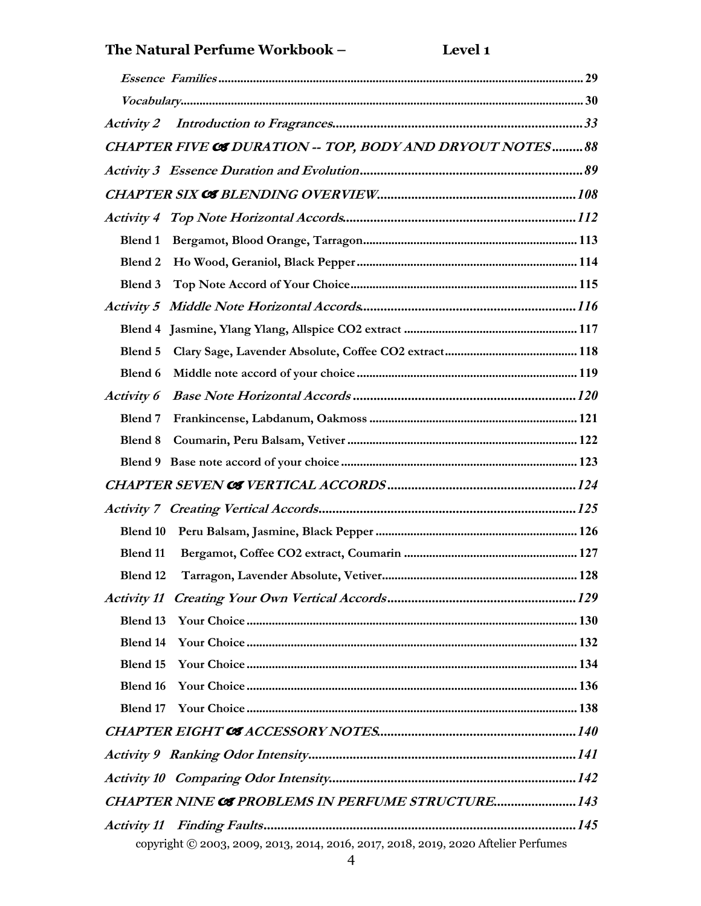## **The Natural Perfume Workbook – Level 1**

|            | CHAPTER FIVE CS DURATION -- TOP, BODY AND DRYOUT NOTES 88                          |  |
|------------|------------------------------------------------------------------------------------|--|
|            |                                                                                    |  |
|            |                                                                                    |  |
|            |                                                                                    |  |
| Blend 1    |                                                                                    |  |
| Blend 2    |                                                                                    |  |
| Blend 3    |                                                                                    |  |
|            |                                                                                    |  |
|            |                                                                                    |  |
| Blend 5    |                                                                                    |  |
| Blend 6    |                                                                                    |  |
| Activity 6 |                                                                                    |  |
| Blend 7    |                                                                                    |  |
| Blend 8    |                                                                                    |  |
|            |                                                                                    |  |
|            |                                                                                    |  |
|            |                                                                                    |  |
| Blend 10   |                                                                                    |  |
| Blend 11   |                                                                                    |  |
| Blend 12   |                                                                                    |  |
|            |                                                                                    |  |
| Blend 13   |                                                                                    |  |
| Blend 14   |                                                                                    |  |
| Blend 15   |                                                                                    |  |
| Blend 16   |                                                                                    |  |
| Blend 17   |                                                                                    |  |
|            |                                                                                    |  |
|            |                                                                                    |  |
|            |                                                                                    |  |
|            | <b>CHAPTER NINE CS PROBLEMS IN PERFUME STRUCTURE 143</b>                           |  |
|            |                                                                                    |  |
|            | copyright © 2003, 2009, 2013, 2014, 2016, 2017, 2018, 2019, 2020 Aftelier Perfumes |  |